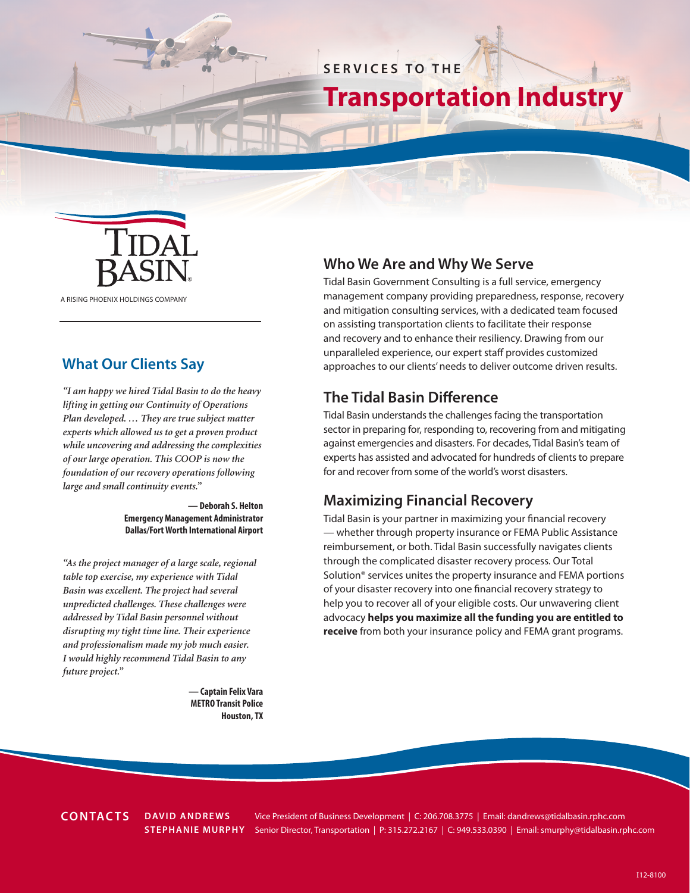## **SERVICES TO THE**

# **Transportation Industry**



A RISING PHOENIX HOLDINGS COMPANY

### **What Our Clients Say**

*"I am happy we hired Tidal Basin to do the heavy lifting in getting our Continuity of Operations Plan developed. … They are true subject matter experts which allowed us to get a proven product while uncovering and addressing the complexities of our large operation. This COOP is now the foundation of our recovery operations following large and small continuity events."*

> **— Deborah S. Helton Emergency Management Administrator Dallas/Fort Worth International Airport**

*"As the project manager of a large scale, regional table top exercise, my experience with Tidal Basin was excellent. The project had several unpredicted challenges. These challenges were addressed by Tidal Basin personnel without disrupting my tight time line. Their experience and professionalism made my job much easier. I would highly recommend Tidal Basin to any future project."*

> **— Captain Felix Vara METRO Transit Police Houston, TX**

### **Who We Are and Why We Serve**

Tidal Basin Government Consulting is a full service, emergency management company providing preparedness, response, recovery and mitigation consulting services, with a dedicated team focused on assisting transportation clients to facilitate their response and recovery and to enhance their resiliency. Drawing from our unparalleled experience, our expert staff provides customized approaches to our clients' needs to deliver outcome driven results.

### **The Tidal Basin Difference**

Tidal Basin understands the challenges facing the transportation sector in preparing for, responding to, recovering from and mitigating against emergencies and disasters. For decades, Tidal Basin's team of experts has assisted and advocated for hundreds of clients to prepare for and recover from some of the world's worst disasters.

### **Maximizing Financial Recovery**

Tidal Basin is your partner in maximizing your financial recovery — whether through property insurance or FEMA Public Assistance reimbursement, or both. Tidal Basin successfully navigates clients through the complicated disaster recovery process. Our Total Solution® services unites the property insurance and FEMA portions of your disaster recovery into one financial recovery strategy to help you to recover all of your eligible costs. Our unwavering client advocacy **helps you maximize all the funding you are entitled to receive** from both your insurance policy and FEMA grant programs.

**CONTACTS**

**DAVID ANDREWS** Vice President of Business Development | C: 206.708.3775 | Email: dandrews@tidalbasin.rphc.com **STEPHANIE MURPHY** Senior Director, Transportation | P: 315.272.2167 | C: 949.533.0390 | Email: smurphy@tidalbasin.rphc.com